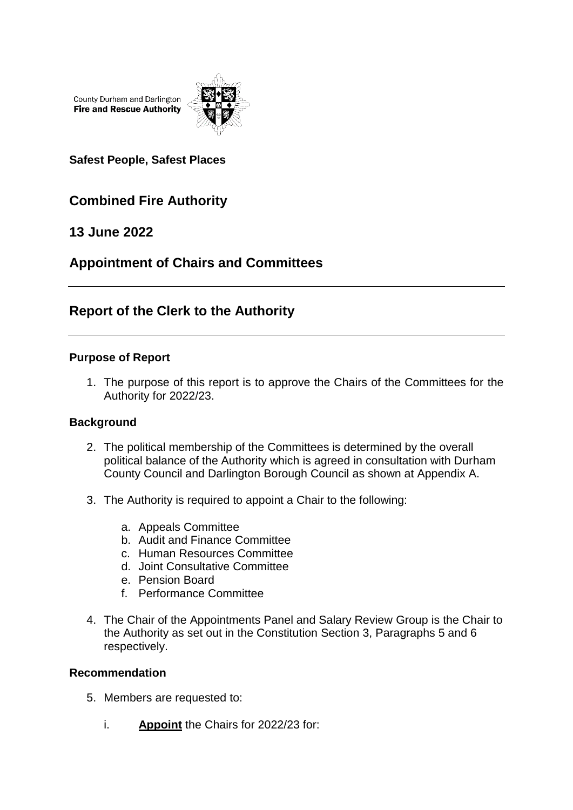County Durham and Darlington **Fire and Rescue Authority** 



**Safest People, Safest Places**

# **Combined Fire Authority**

## **13 June 2022**

## **Appointment of Chairs and Committees**

## **Report of the Clerk to the Authority**

### **Purpose of Report**

1. The purpose of this report is to approve the Chairs of the Committees for the Authority for 2022/23.

### **Background**

- 2. The political membership of the Committees is determined by the overall political balance of the Authority which is agreed in consultation with Durham County Council and Darlington Borough Council as shown at Appendix A.
- 3. The Authority is required to appoint a Chair to the following:
	- a. Appeals Committee
	- b. Audit and Finance Committee
	- c. Human Resources Committee
	- d. Joint Consultative Committee
	- e. Pension Board
	- f. Performance Committee
- 4. The Chair of the Appointments Panel and Salary Review Group is the Chair to the Authority as set out in the Constitution Section 3, Paragraphs 5 and 6 respectively.

#### **Recommendation**

- 5. Members are requested to:
	- i. **Appoint** the Chairs for 2022/23 for: